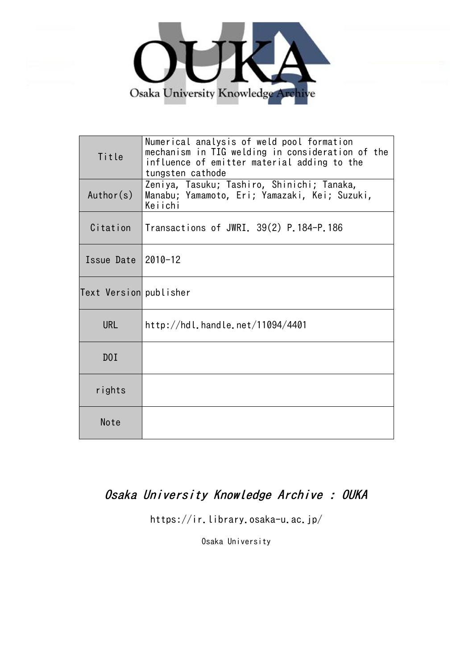

| Title                  | Numerical analysis of weld pool formation<br>mechanism in TIG welding in consideration of the<br>influence of emitter material adding to the<br>tungsten cathode |  |
|------------------------|------------------------------------------------------------------------------------------------------------------------------------------------------------------|--|
| Author(s)              | Zeniya, Tasuku; Tashiro, Shinichi; Tanaka,<br>Manabu; Yamamoto, Eri; Yamazaki, Kei; Suzuki,<br>Keiichi                                                           |  |
| Citation               | $\vert$ Transactions of JWRI. 39(2) P.184-P.186                                                                                                                  |  |
| Issue Date $ 2010-12$  |                                                                                                                                                                  |  |
| Text Version publisher |                                                                                                                                                                  |  |
| <b>URL</b>             | http://hdl.handle.net/11094/4401                                                                                                                                 |  |
| DOI                    |                                                                                                                                                                  |  |
| rights                 |                                                                                                                                                                  |  |
| Note                   |                                                                                                                                                                  |  |

## Osaka University Knowledge Archive : OUKA

https://ir.library.osaka-u.ac.jp/

Osaka University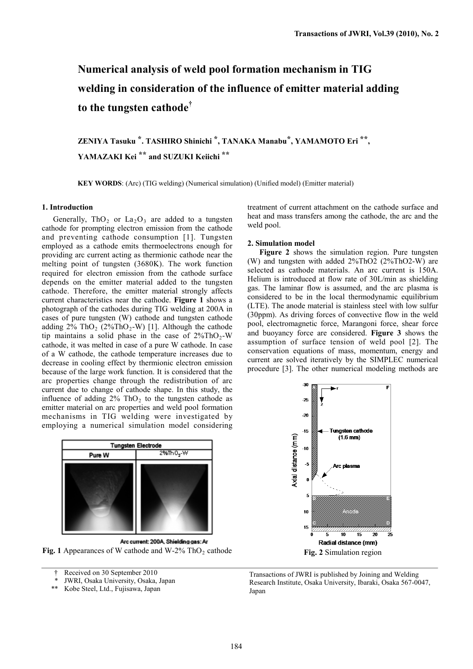# **Numerical analysis of weld pool formation mechanism in TIG welding in consideration of the influence of emitter material adding to the tungsten cathode†**

**ZENIYA Tasuku \*. TASHIRO Shinichi \*, TANAKA Manabu\*, YAMAMOTO Eri \*\*, YAMAZAKI Kei \*\* and SUZUKI Keiichi \*\***

**KEY WORDS**: (Arc) (TIG welding) (Numerical simulation) (Unified model) (Emitter material)

### **1. Introduction**

Generally,  $ThO<sub>2</sub>$  or  $La<sub>2</sub>O<sub>3</sub>$  are added to a tungsten cathode for prompting electron emission from the cathode and preventing cathode consumption [1]. Tungsten employed as a cathode emits thermoelectrons enough for providing arc current acting as thermionic cathode near the melting point of tungsten (3680K). The work function required for electron emission from the cathode surface depends on the emitter material added to the tungsten cathode. Therefore, the emitter material strongly affects current characteristics near the cathode. **Figure 1** shows a photograph of the cathodes during TIG welding at 200A in cases of pure tungsten (W) cathode and tungsten cathode adding  $2\%$  ThO<sub>2</sub> ( $2\%$ ThO<sub>2</sub>-W) [1]. Although the cathode tip maintains a solid phase in the case of  $2\%$ ThO<sub>2</sub>-W cathode, it was melted in case of a pure W cathode. In case of a W cathode, the cathode temperature increases due to decrease in cooling effect by thermionic electron emission because of the large work function. It is considered that the arc properties change through the redistribution of arc current due to change of cathode shape. In this study, the influence of adding  $2\%$  ThO<sub>2</sub> to the tungsten cathode as emitter material on arc properties and weld pool formation mechanisms in TIG welding were investigated by employing a numerical simulation model considering

| <b>Tungsten Electrode</b> |                            |  |  |
|---------------------------|----------------------------|--|--|
| Pure W                    | $2\%$ Th O <sub>2</sub> -W |  |  |
|                           |                            |  |  |

Arc current: 200A, Shielding gas: Ar **Fig. 1** Appearances of W cathode and  $W-2\%$  ThO<sub>2</sub> cathode

† Received on 30 September 2010

- \* JWRI, Osaka University, Osaka, Japan<br>\*\* Kobe Steel Ltd. Fujisawa, Japan
- Kobe Steel, Ltd., Fujisawa, Japan

treatment of current attachment on the cathode surface and heat and mass transfers among the cathode, the arc and the weld pool.

#### **2. Simulation model**

**Figure 2** shows the simulation region. Pure tungsten (W) and tungsten with added 2%ThO2 (2%ThO2-W) are selected as cathode materials. An arc current is 150A. Helium is introduced at flow rate of 30L/min as shielding gas. The laminar flow is assumed, and the arc plasma is considered to be in the local thermodynamic equilibrium (LTE). The anode material is stainless steel with low sulfur (30ppm). As driving forces of convective flow in the weld pool, electromagnetic force, Marangoni force, shear force and buoyancy force are considered. **Figure 3** shows the assumption of surface tension of weld pool [2]. The conservation equations of mass, momentum, energy and current are solved iteratively by the SIMPLEC numerical procedure [3]. The other numerical modeling methods are



Transactions of JWRI is published by Joining and Welding Research Institute, Osaka University, Ibaraki, Osaka 567-0047, Japan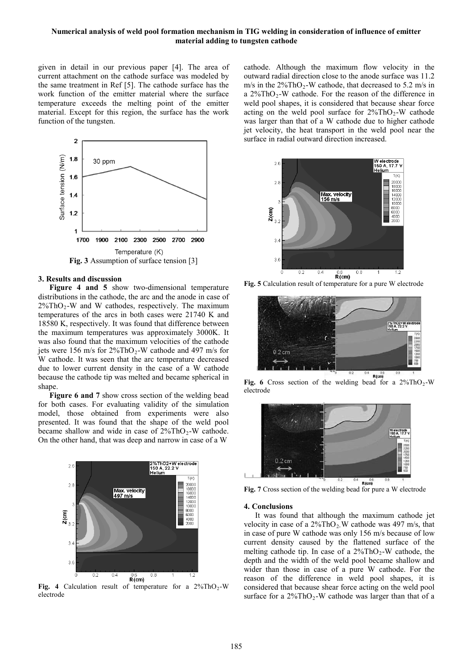## **Numerical analysis of weld pool formation mechanism in TIG welding in consideration of influence of emitter material adding to tungsten cathode**

given in detail in our previous paper [4]. The area of current attachment on the cathode surface was modeled by the same treatment in Ref [5]. The cathode surface has the work function of the emitter material where the surface temperature exceeds the melting point of the emitter material. Except for this region, the surface has the work function of the tungsten.



#### **3. Results and discussion**

**Figure 4 and 5** show two-dimensional temperature distributions in the cathode, the arc and the anode in case of  $2\%$ ThO<sub>2</sub>-W and W cathodes, respectively. The maximum temperatures of the arcs in both cases were 21740 K and 18580 K, respectively. It was found that difference between the maximum temperatures was approximately 3000K. It was also found that the maximum velocities of the cathode jets were 156 m/s for  $2\%$ ThO<sub>2</sub>-W cathode and 497 m/s for W cathode. It was seen that the arc temperature decreased due to lower current density in the case of a W cathode because the cathode tip was melted and became spherical in shape.

**Figure 6 and 7** show cross section of the welding bead for both cases. For evaluating validity of the simulation model, those obtained from experiments were also presented. It was found that the shape of the weld pool became shallow and wide in case of  $2\%$ ThO<sub>2</sub>-W cathode. On the other hand, that was deep and narrow in case of a W



Fig. 4 Calculation result of temperature for a  $2\%$ ThO<sub>2</sub>-W electrode

cathode. Although the maximum flow velocity in the outward radial direction close to the anode surface was 11.2 m/s in the  $2\%$ ThO<sub>2</sub>-W cathode, that decreased to 5.2 m/s in a  $2\%$ ThO<sub>2</sub>-W cathode. For the reason of the difference in weld pool shapes, it is considered that because shear force acting on the weld pool surface for  $2\%$ ThO<sub>2</sub>-W cathode was larger than that of a W cathode due to higher cathode jet velocity, the heat transport in the weld pool near the surface in radial outward direction increased.



**Fig. 5** Calculation result of temperature for a pure W electrode



**Fig. 6** Cross section of the welding bead for a  $2\%$ ThO<sub>2</sub>-W electrode



**Fig. 7** Cross section of the welding bead for pure a W electrode

## **4. Conclusions**

It was found that although the maximum cathode jet velocity in case of a  $2\%$ ThO<sub>2</sub>. W cathode was 497 m/s, that in case of pure W cathode was only 156 m/s because of low current density caused by the flattened surface of the melting cathode tip. In case of a  $2\%$ ThO<sub>2</sub>-W cathode, the depth and the width of the weld pool became shallow and wider than those in case of a pure W cathode. For the reason of the difference in weld pool shapes, it is considered that because shear force acting on the weld pool surface for a  $2\%$ ThO<sub>2</sub>-W cathode was larger than that of a